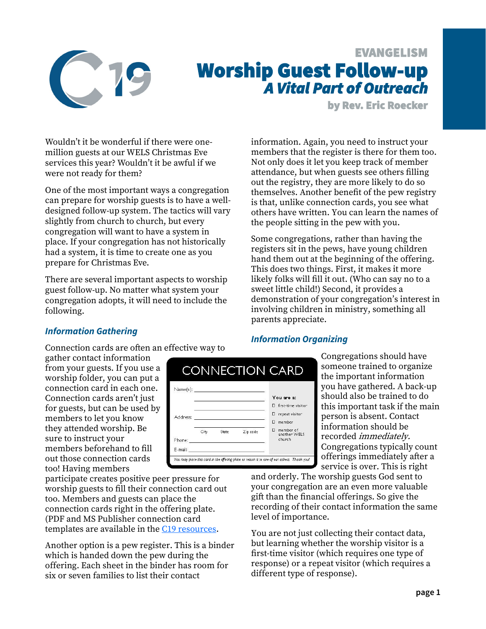

# EVANGELISM Worship Guest Follow-up *A Vital Part of Outreach*

by Rev. Eric Roecker

Wouldn't it be wonderful if there were onemillion guests at our WELS Christmas Eve services this year? Wouldn't it be awful if we were not ready for them?

One of the most important ways a congregation can prepare for worship guests is to have a welldesigned follow-up system. The tactics will vary slightly from church to church, but every congregation will want to have a system in place. If your congregation has not historically had a system, it is time to create one as you prepare for Christmas Eve.

There are several important aspects to worship guest follow-up. No matter what system your congregation adopts, it will need to include the following.

information. Again, you need to instruct your members that the register is there for them too. Not only does it let you keep track of member attendance, but when guests see others filling out the registry, they are more likely to do so themselves. Another benefit of the pew registry is that, unlike connection cards, you see what others have written. You can learn the names of the people sitting in the pew with you.

Some congregations, rather than having the registers sit in the pews, have young children hand them out at the beginning of the offering. This does two things. First, it makes it more likely folks will fill it out. (Who can say no to a sweet little child!) Second, it provides a demonstration of your congregation's interest in involving children in ministry, something all parents appreciate.

# *Information Gathering*

Connection cards are often an effective way to

gather contact information from your guests. If you use a worship folder, you can put a connection card in each one. Connection cards aren't just for guests, but can be used by members to let you know they attended worship. Be sure to instruct your members beforehand to fill out those connection cards too! Having members

participate creates positive peer pressure for worship guests to fill their connection card out too. Members and guests can place the connection cards right in the offering plate. (PDF and MS Publisher connection card templates are available in the [C19 resources.](https://welscongregationalservices.net/c19/)

Another option is a pew register. This is a binder which is handed down the pew during the offering. Each sheet in the binder has room for six or seven families to list their contact

|          |      |       |                                                    | CONNECTION CARD             |
|----------|------|-------|----------------------------------------------------|-----------------------------|
|          |      |       |                                                    |                             |
|          |      |       |                                                    | You are a:                  |
|          |      |       |                                                    | first-time visitor<br>п     |
| Address: |      |       | <u> 1989 - John Stone, Amerikaansk politiker (</u> | repeat visitor<br>п         |
|          |      |       |                                                    | member<br>п                 |
|          | City | State | Zip code                                           | D member of<br>another WELS |
| Phone:   |      |       |                                                    | church                      |
|          |      |       |                                                    |                             |

# *Information Organizing*

Congregations should have someone trained to organize the important information you have gathered. A back-up should also be trained to do this important task if the main person is absent. Contact information should be recorded immediately. Congregations typically count offerings immediately after a service is over. This is right

and orderly. The worship guests God sent to your congregation are an even more valuable gift than the financial offerings. So give the recording of their contact information the same level of importance.

You are not just collecting their contact data, but learning whether the worship visitor is a first-time visitor (which requires one type of response) or a repeat visitor (which requires a different type of response).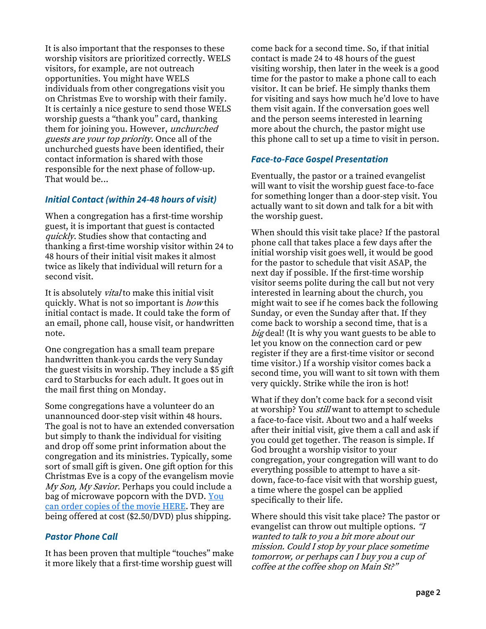It is also important that the responses to these worship visitors are prioritized correctly. WELS visitors, for example, are not outreach opportunities. You might have WELS individuals from other congregations visit you on Christmas Eve to worship with their family. It is certainly a nice gesture to send those WELS worship guests a "thank you" card, thanking them for joining you. However, unchurched guests are your top priority. Once all of the unchurched guests have been identified, their contact information is shared with those responsible for the next phase of follow-up. That would be...

### *Initial Contact (within 24-48 hours of visit)*

When a congregation has a first-time worship guest, it is important that guest is contacted quickly. Studies show that contacting and thanking a first-time worship visitor within 24 to 48 hours of their initial visit makes it almost twice as likely that individual will return for a second visit.

It is absolutely *vital* to make this initial visit quickly. What is not so important is *how* this initial contact is made. It could take the form of an email, phone call, house visit, or handwritten note.

One congregation has a small team prepare handwritten thank-you cards the very Sunday the guest visits in worship. They include a \$5 gift card to Starbucks for each adult. It goes out in the mail first thing on Monday.

Some congregations have a volunteer do an unannounced door-step visit within 48 hours. The goal is not to have an extended conversation but simply to thank the individual for visiting and drop off some print information about the congregation and its ministries. Typically, some sort of small gift is given. One gift option for this Christmas Eve is a copy of the evangelism movie My Son, My Savior. Perhaps you could include a bag of microwave popcorn with the DVD. You [can order copies of the movie HERE.](https://online.nph.net/catalog/product/view/id/25464/) They are being offered at cost (\$2.50/DVD) plus shipping.

#### *Pastor Phone Call*

It has been proven that multiple "touches" make it more likely that a first-time worship guest will

come back for a second time. So, if that initial contact is made 24 to 48 hours of the guest visiting worship, then later in the week is a good time for the pastor to make a phone call to each visitor. It can be brief. He simply thanks them for visiting and says how much he'd love to have them visit again. If the conversation goes well and the person seems interested in learning more about the church, the pastor might use this phone call to set up a time to visit in person.

#### *Face-to-Face Gospel Presentation*

Eventually, the pastor or a trained evangelist will want to visit the worship guest face-to-face for something longer than a door-step visit. You actually want to sit down and talk for a bit with the worship guest.

When should this visit take place? If the pastoral phone call that takes place a few days after the initial worship visit goes well, it would be good for the pastor to schedule that visit ASAP, the next day if possible. If the first-time worship visitor seems polite during the call but not very interested in learning about the church, you might wait to see if he comes back the following Sunday, or even the Sunday after that. If they come back to worship a second time, that is a big deal! (It is why you want guests to be able to let you know on the connection card or pew register if they are a first-time visitor or second time visitor.) If a worship visitor comes back a second time, you will want to sit town with them very quickly. Strike while the iron is hot!

What if they don't come back for a second visit at worship? You *still* want to attempt to schedule a face-to-face visit. About two and a half weeks after their initial visit, give them a call and ask if you could get together. The reason is simple. If God brought a worship visitor to your congregation, your congregation will want to do everything possible to attempt to have a sitdown, face-to-face visit with that worship guest, a time where the gospel can be applied specifically to their life.

Where should this visit take place? The pastor or evangelist can throw out multiple options. "<sup>I</sup> wanted to talk to you a bit more about our mission. Could I stop by your place sometime tomorrow, or perhaps can I buy you a cup of coffee at the coffee shop on Main St?"